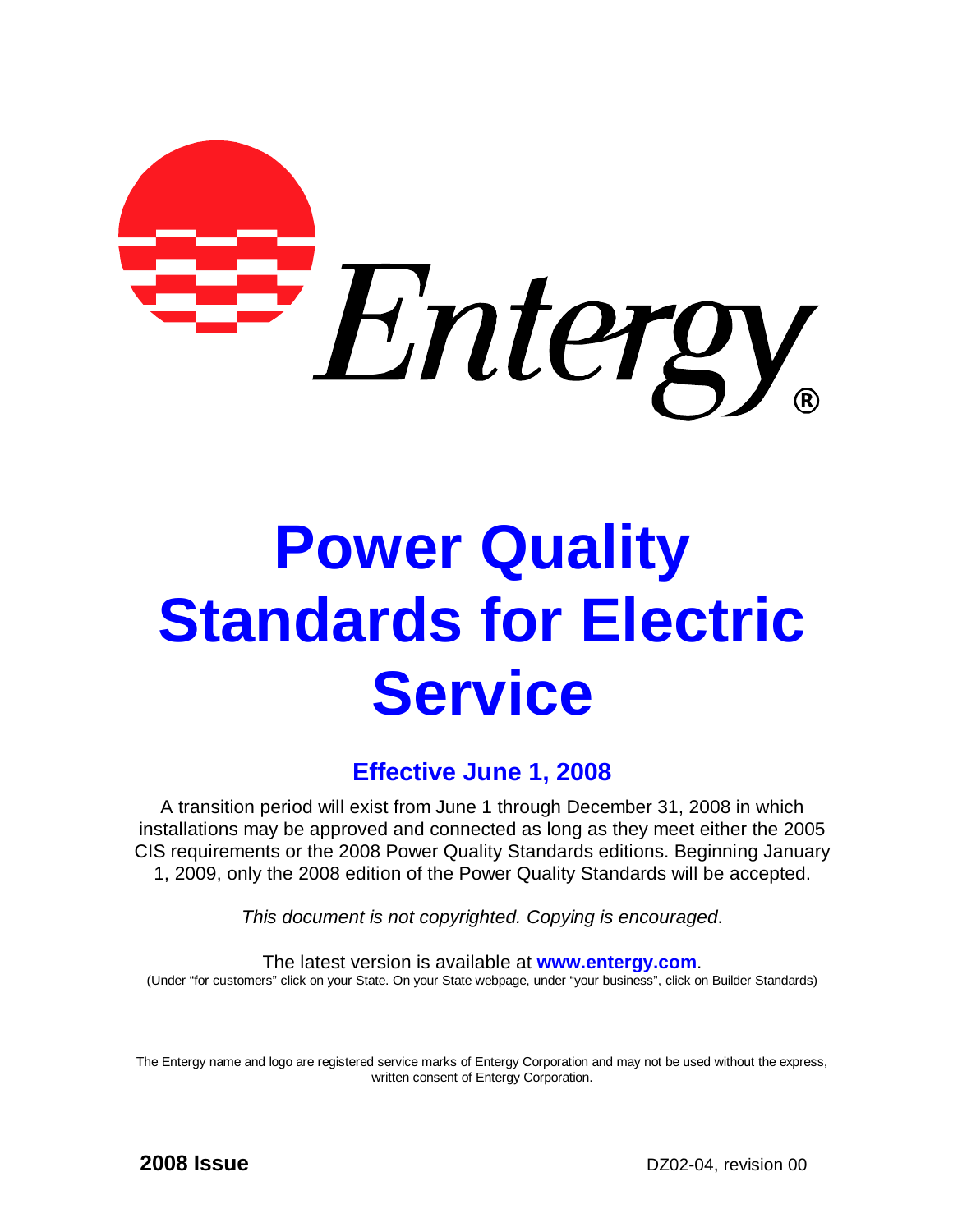

# **Power Quality Standards for Electric Service**

# **Effective June 1, 2008**

A transition period will exist from June 1 through December 31, 2008 in which installations may be approved and connected as long as they meet either the 2005 CIS requirements or the 2008 Power Quality Standards editions. Beginning January 1, 2009, only the 2008 edition of the Power Quality Standards will be accepted.

*This document is not copyrighted. Copying is encouraged*.

The latest version is available at **[www.entergy.com](http://www.entergy.com)**. (Under "for customers" click on your State. On your State webpage, under "your business", click on Builder Standards)

The Entergy name and logo are registered service marks of Entergy Corporation and may not be used without the express, written consent of Entergy Corporation.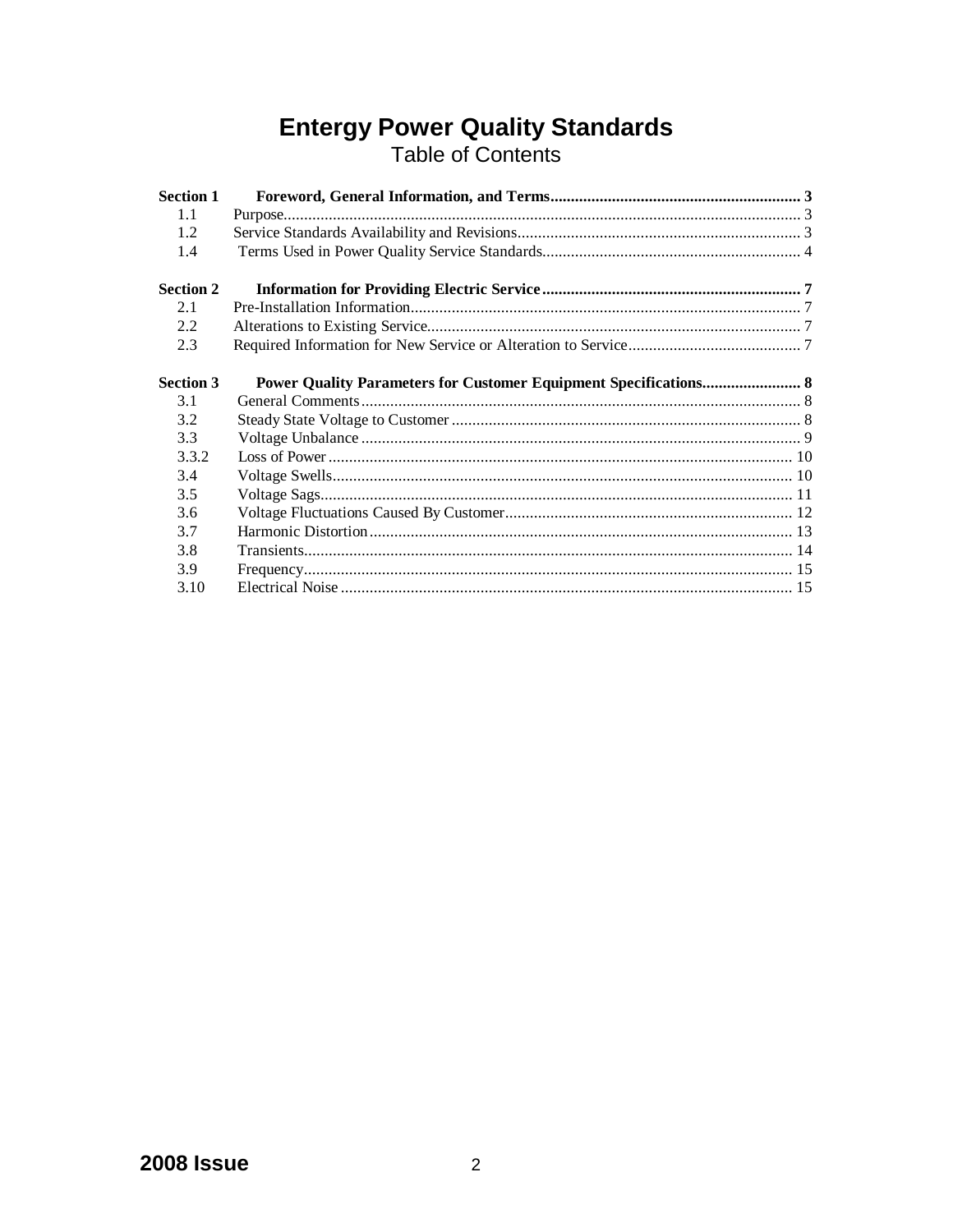# **Entergy Power Quality Standards**<br>Table of Contents

| <b>Section 1</b> |                                                                         |  |
|------------------|-------------------------------------------------------------------------|--|
| 1.1              |                                                                         |  |
| 1.2              |                                                                         |  |
| 1.4              |                                                                         |  |
| <b>Section 2</b> |                                                                         |  |
| 2.1              |                                                                         |  |
| 2.2              |                                                                         |  |
| 2.3              |                                                                         |  |
| <b>Section 3</b> | <b>Power Quality Parameters for Customer Equipment Specifications 8</b> |  |
| 3.1              |                                                                         |  |
| 3.2              |                                                                         |  |
| 3.3              |                                                                         |  |
| 3.3.2            |                                                                         |  |
| 3.4              |                                                                         |  |
| 3.5              |                                                                         |  |
| 3.6              |                                                                         |  |
| 3.7              |                                                                         |  |
| 3.8              |                                                                         |  |
| 3.9              |                                                                         |  |
| 3.10             |                                                                         |  |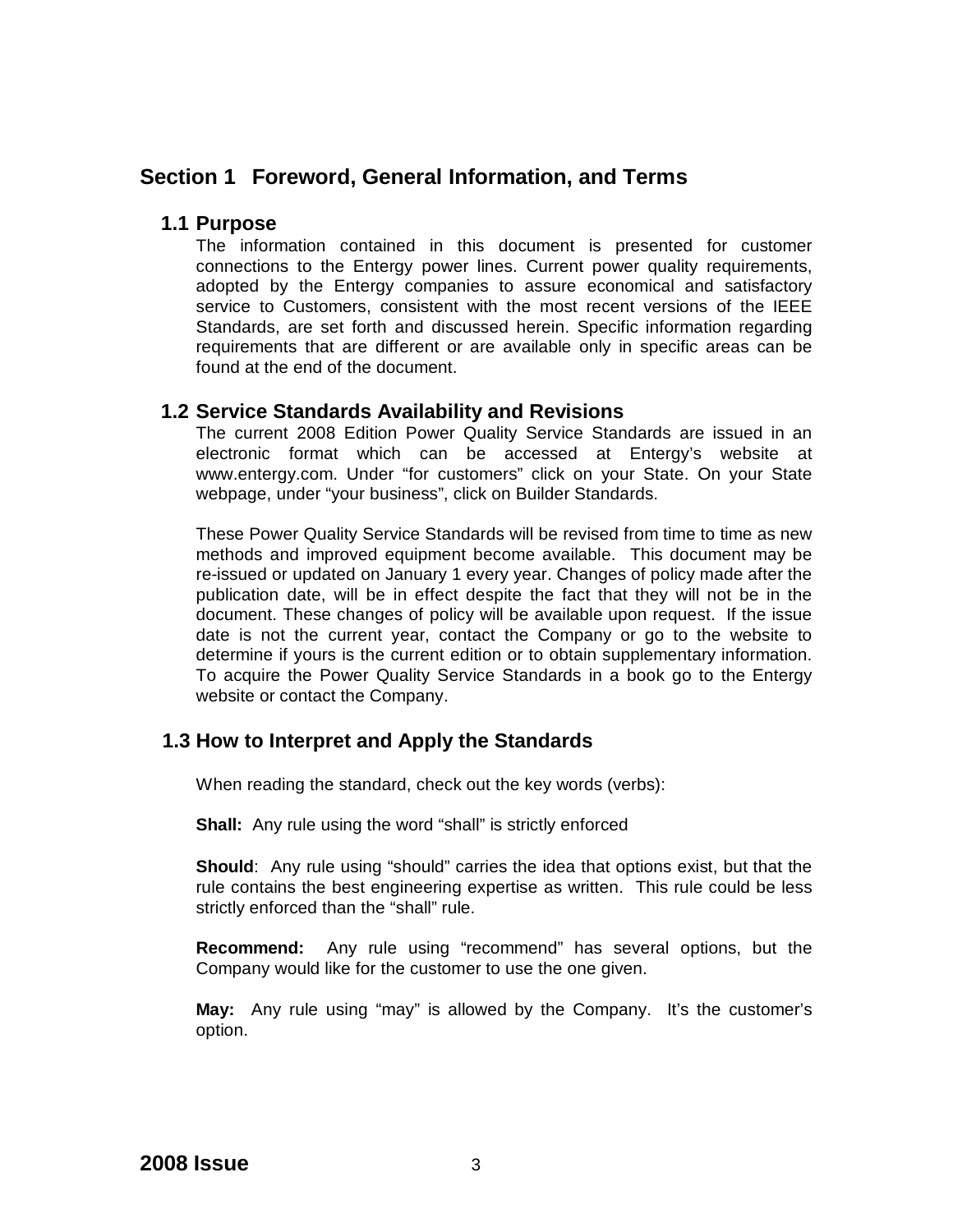# **Section 1 Foreword, General Information, and Terms**

#### **1.1 Purpose**

The information contained in this document is presented for customer connections to the Entergy power lines. Current power quality requirements, adopted by the Entergy companies to assure economical and satisfactory service to Customers, consistent with the most recent versions of the IEEE Standards, are set forth and discussed herein. Specific information regarding requirements that are different or are available only in specific areas can be found at the end of the document.

#### **1.2 Service Standards Availability and Revisions**

The current 2008 Edition Power Quality Service Standards are issued in an electronic format which can be accessed at Entergy's website at [www.entergy.com.](http://www.entergy.com.) Under "for customers" click on your State. On your State webpage, under "your business", click on Builder Standards.

These Power Quality Service Standards will be revised from time to time as new methods and improved equipment become available. This document may be re-issued or updated on January 1 every year. Changes of policy made after the publication date, will be in effect despite the fact that they will not be in the document. These changes of policy will be available upon request. If the issue date is not the current year, contact the Company or go to the website to determine if yours is the current edition or to obtain supplementary information. To acquire the Power Quality Service Standards in a book go to the Entergy website or contact the Company.

#### **1.3 How to Interpret and Apply the Standards**

When reading the standard, check out the key words (verbs):

**Shall:** Any rule using the word "shall" is strictly enforced

**Should**: Any rule using "should" carries the idea that options exist, but that the rule contains the best engineering expertise as written. This rule could be less strictly enforced than the "shall" rule.

**Recommend:** Any rule using "recommend" has several options, but the Company would like for the customer to use the one given.

**May:** Any rule using "may" is allowed by the Company. It's the customer's option.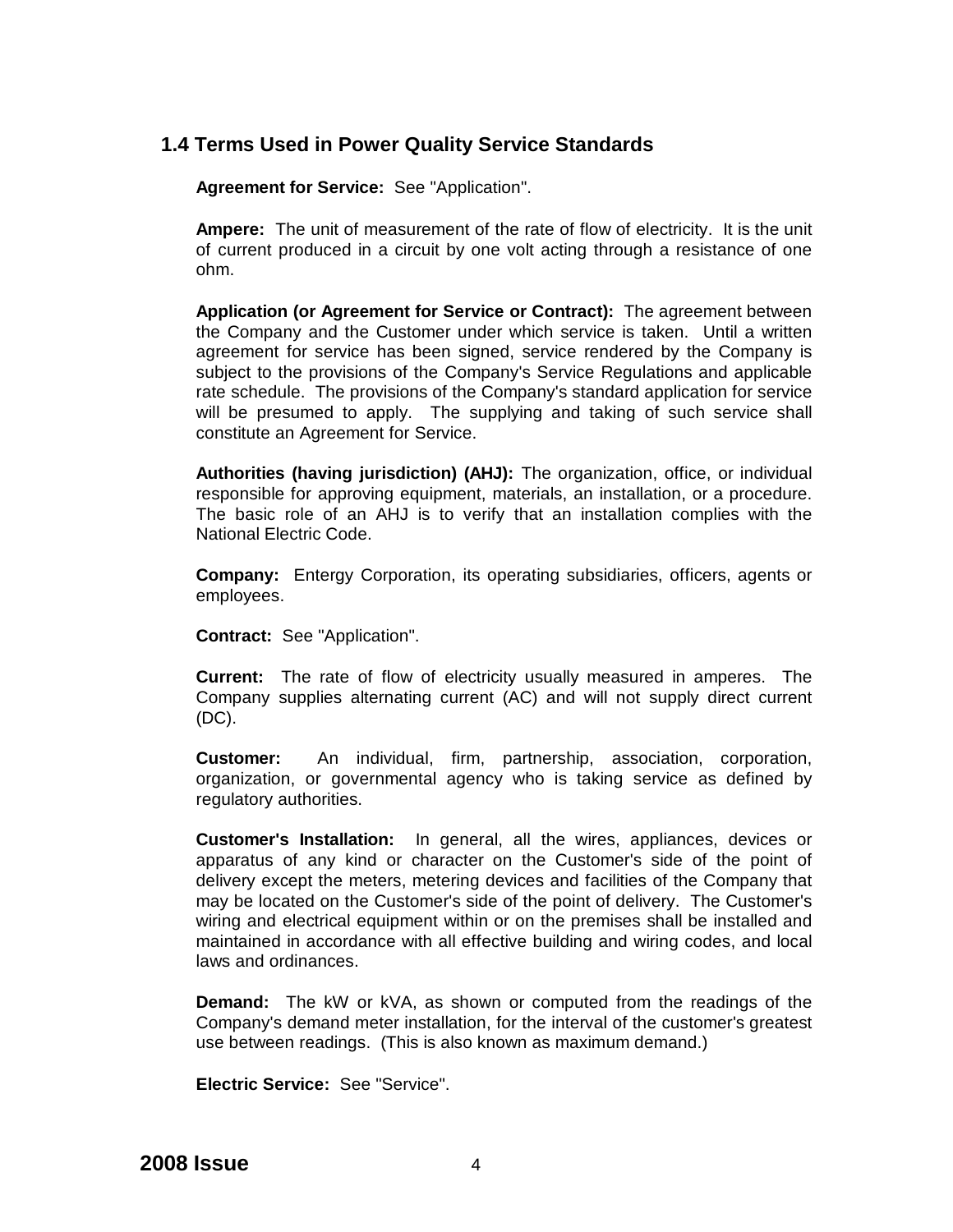# **1.4 Terms Used in Power Quality Service Standards**

**Agreement for Service:** See "Application".

**Ampere:** The unit of measurement of the rate of flow of electricity. It is the unit of current produced in a circuit by one volt acting through a resistance of one ohm.

**Application (or Agreement for Service or Contract):** The agreement between the Company and the Customer under which service is taken. Until a written agreement for service has been signed, service rendered by the Company is subject to the provisions of the Company's Service Regulations and applicable rate schedule. The provisions of the Company's standard application for service will be presumed to apply. The supplying and taking of such service shall constitute an Agreement for Service.

**Authorities (having jurisdiction) (AHJ):** The organization, office, or individual responsible for approving equipment, materials, an installation, or a procedure. The basic role of an AHJ is to verify that an installation complies with the National Electric Code.

**Company:** Entergy Corporation, its operating subsidiaries, officers, agents or employees.

**Contract:** See "Application".

**Current:** The rate of flow of electricity usually measured in amperes. The Company supplies alternating current (AC) and will not supply direct current (DC).

**Customer:** An individual, firm, partnership, association, corporation, organization, or governmental agency who is taking service as defined by regulatory authorities.

**Customer's Installation:** In general, all the wires, appliances, devices or apparatus of any kind or character on the Customer's side of the point of delivery except the meters, metering devices and facilities of the Company that may be located on the Customer's side of the point of delivery. The Customer's wiring and electrical equipment within or on the premises shall be installed and maintained in accordance with all effective building and wiring codes, and local laws and ordinances.

**Demand:** The kW or kVA, as shown or computed from the readings of the Company's demand meter installation, for the interval of the customer's greatest use between readings. (This is also known as maximum demand.)

**Electric Service:** See "Service".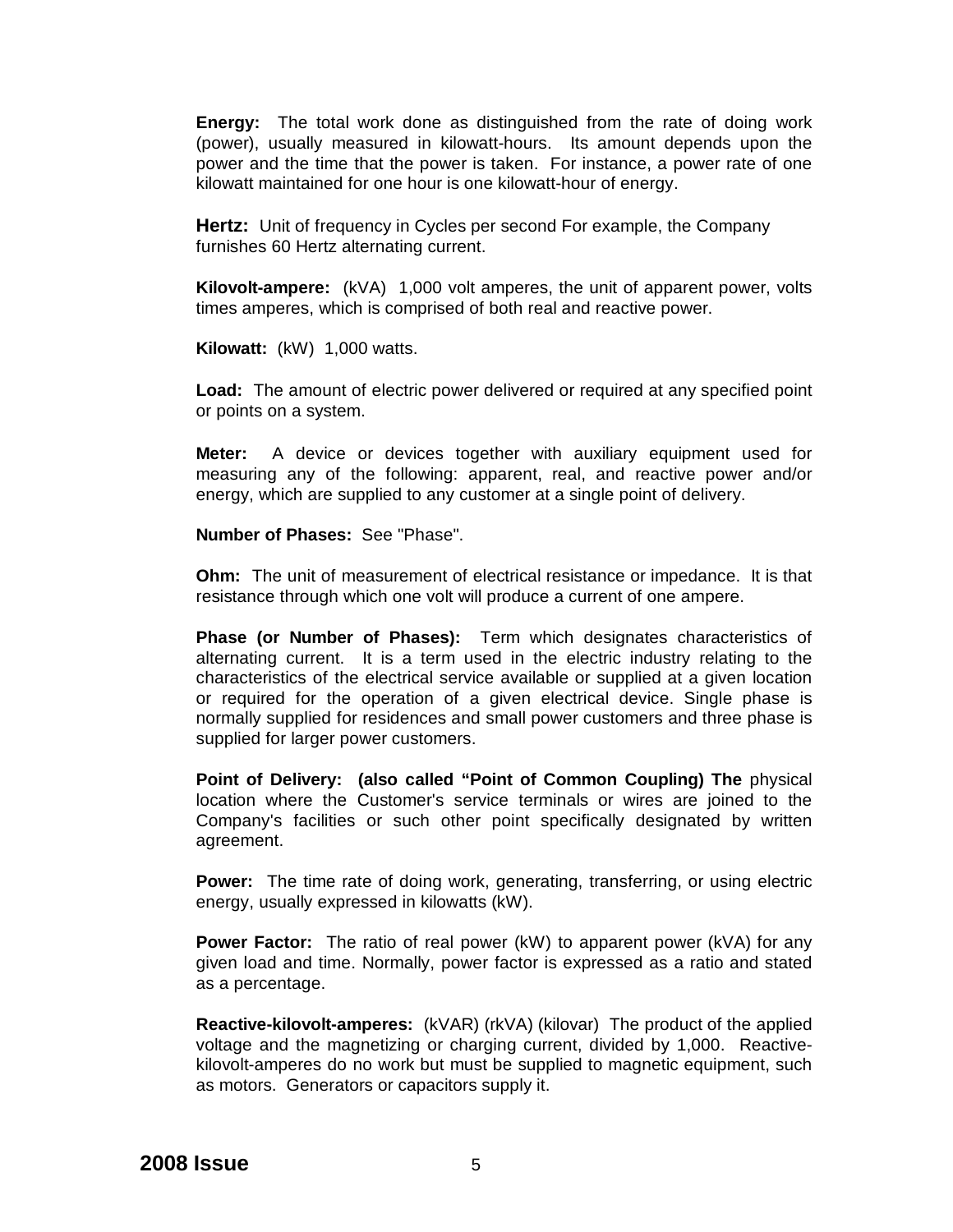**Energy:** The total work done as distinguished from the rate of doing work (power), usually measured in kilowatt-hours. Its amount depends upon the power and the time that the power is taken. For instance, a power rate of one kilowatt maintained for one hour is one kilowatt-hour of energy.

**Hertz:** Unit of frequency in Cycles per second For example, the Company furnishes 60 Hertz alternating current.

**Kilovolt-ampere:** (kVA) 1,000 volt amperes, the unit of apparent power, volts times amperes, which is comprised of both real and reactive power.

**Kilowatt:** (kW) 1,000 watts.

**Load:** The amount of electric power delivered or required at any specified point or points on a system.

**Meter:** A device or devices together with auxiliary equipment used for measuring any of the following: apparent, real, and reactive power and/or energy, which are supplied to any customer at a single point of delivery.

**Number of Phases:** See "Phase".

**Ohm:** The unit of measurement of electrical resistance or impedance. It is that resistance through which one volt will produce a current of one ampere.

**Phase (or Number of Phases):** Term which designates characteristics of alternating current. It is a term used in the electric industry relating to the characteristics of the electrical service available or supplied at a given location or required for the operation of a given electrical device. Single phase is normally supplied for residences and small power customers and three phase is supplied for larger power customers.

**Point of Delivery: (also called "Point of Common Coupling) The** physical location where the Customer's service terminals or wires are joined to the Company's facilities or such other point specifically designated by written agreement.

**Power:** The time rate of doing work, generating, transferring, or using electric energy, usually expressed in kilowatts (kW).

**Power Factor:** The ratio of real power (kW) to apparent power (kVA) for any given load and time. Normally, power factor is expressed as a ratio and stated as a percentage.

**Reactive-kilovolt-amperes:** (kVAR) (rkVA) (kilovar) The product of the applied voltage and the magnetizing or charging current, divided by 1,000. Reactivekilovolt-amperes do no work but must be supplied to magnetic equipment, such as motors. Generators or capacitors supply it.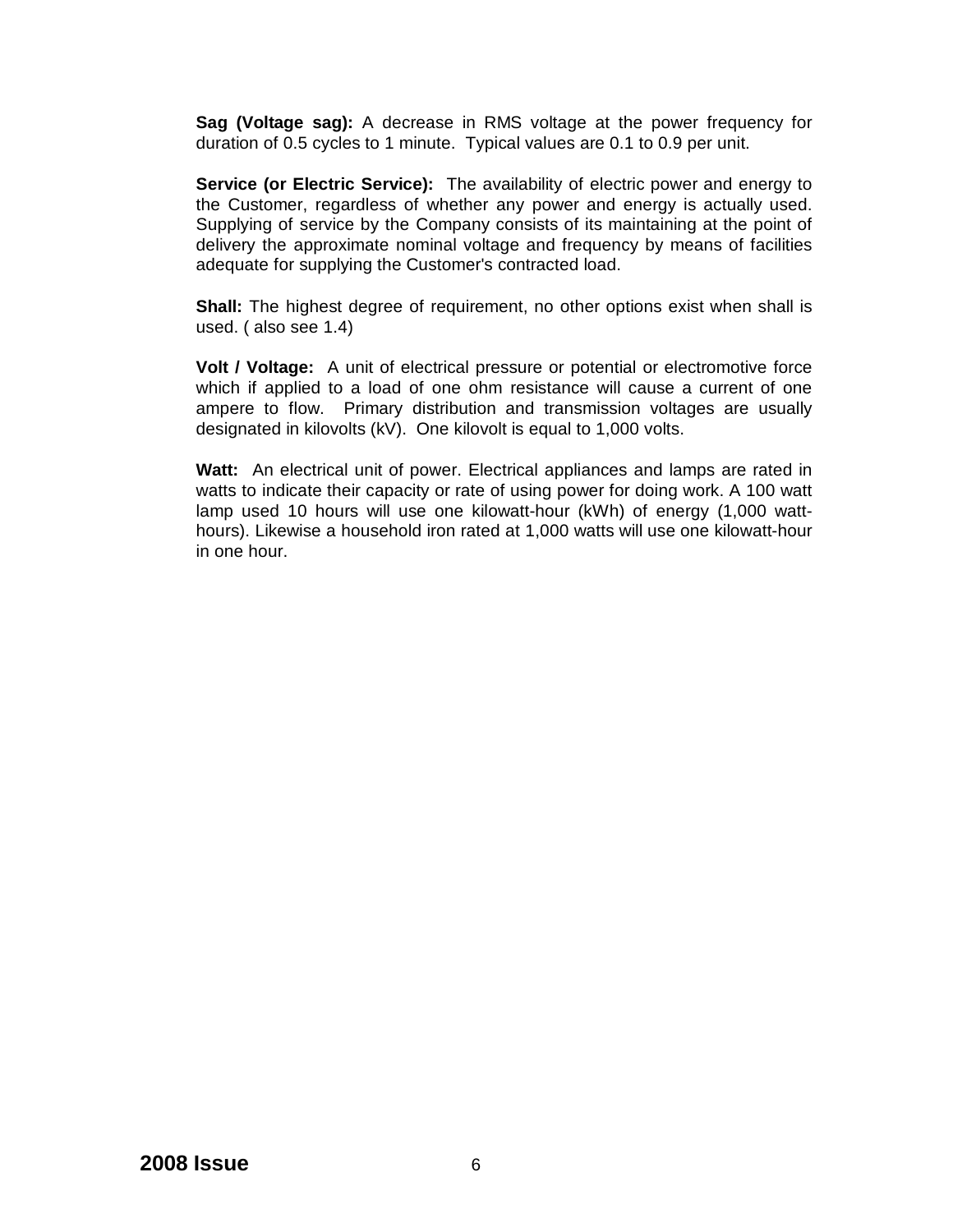**Sag (Voltage sag):** A decrease in RMS voltage at the power frequency for duration of 0.5 cycles to 1 minute. Typical values are 0.1 to 0.9 per unit.

**Service (or Electric Service):** The availability of electric power and energy to the Customer, regardless of whether any power and energy is actually used. Supplying of service by the Company consists of its maintaining at the point of delivery the approximate nominal voltage and frequency by means of facilities adequate for supplying the Customer's contracted load.

**Shall:** The highest degree of requirement, no other options exist when shall is used. ( also see 1.4)

**Volt / Voltage:** A unit of electrical pressure or potential or electromotive force which if applied to a load of one ohm resistance will cause a current of one ampere to flow. Primary distribution and transmission voltages are usually designated in kilovolts (kV). One kilovolt is equal to 1,000 volts.

**Watt:** An electrical unit of power. Electrical appliances and lamps are rated in watts to indicate their capacity or rate of using power for doing work. A 100 watt lamp used 10 hours will use one kilowatt-hour (kWh) of energy (1,000 watthours). Likewise a household iron rated at 1,000 watts will use one kilowatt-hour in one hour.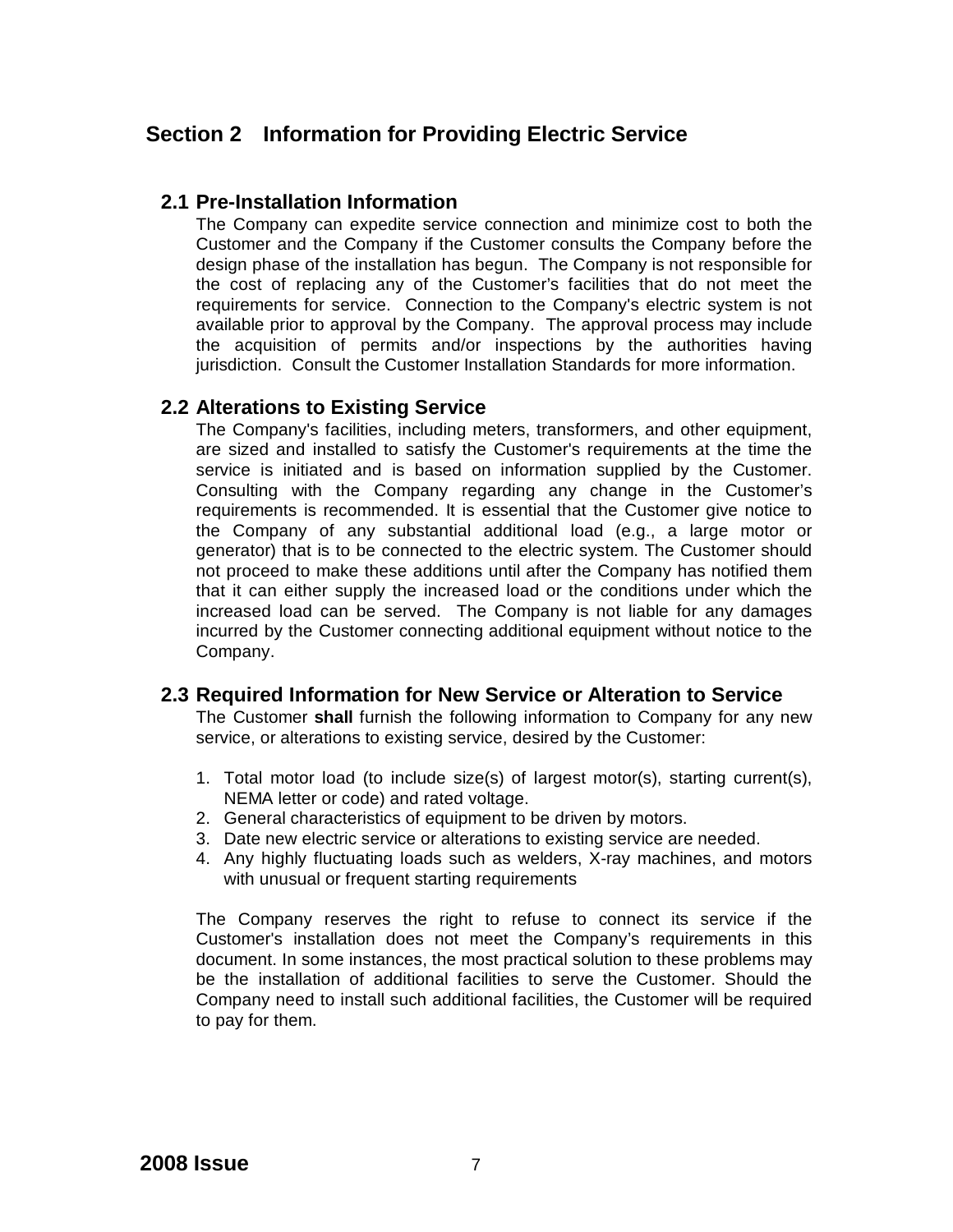# **Section 2 Information for Providing Electric Service**

#### **2.1 Pre-Installation Information**

The Company can expedite service connection and minimize cost to both the Customer and the Company if the Customer consults the Company before the design phase of the installation has begun. The Company is not responsible for the cost of replacing any of the Customer's facilities that do not meet the requirements for service. Connection to the Company's electric system is not available prior to approval by the Company. The approval process may include the acquisition of permits and/or inspections by the authorities having jurisdiction. Consult the Customer Installation Standards for more information.

#### **2.2 Alterations to Existing Service**

The Company's facilities, including meters, transformers, and other equipment, are sized and installed to satisfy the Customer's requirements at the time the service is initiated and is based on information supplied by the Customer. Consulting with the Company regarding any change in the Customer's requirements is recommended. It is essential that the Customer give notice to the Company of any substantial additional load (e.g., a large motor or generator) that is to be connected to the electric system. The Customer should not proceed to make these additions until after the Company has notified them that it can either supply the increased load or the conditions under which the increased load can be served. The Company is not liable for any damages incurred by the Customer connecting additional equipment without notice to the Company.

#### **2.3 Required Information for New Service or Alteration to Service**

The Customer **shall** furnish the following information to Company for any new service, or alterations to existing service, desired by the Customer:

- 1. Total motor load (to include size(s) of largest motor(s), starting current(s), NEMA letter or code) and rated voltage.
- 2. General characteristics of equipment to be driven by motors.
- 3. Date new electric service or alterations to existing service are needed.
- 4. Any highly fluctuating loads such as welders, X-ray machines, and motors with unusual or frequent starting requirements

The Company reserves the right to refuse to connect its service if the Customer's installation does not meet the Company's requirements in this document. In some instances, the most practical solution to these problems may be the installation of additional facilities to serve the Customer. Should the Company need to install such additional facilities, the Customer will be required to pay for them.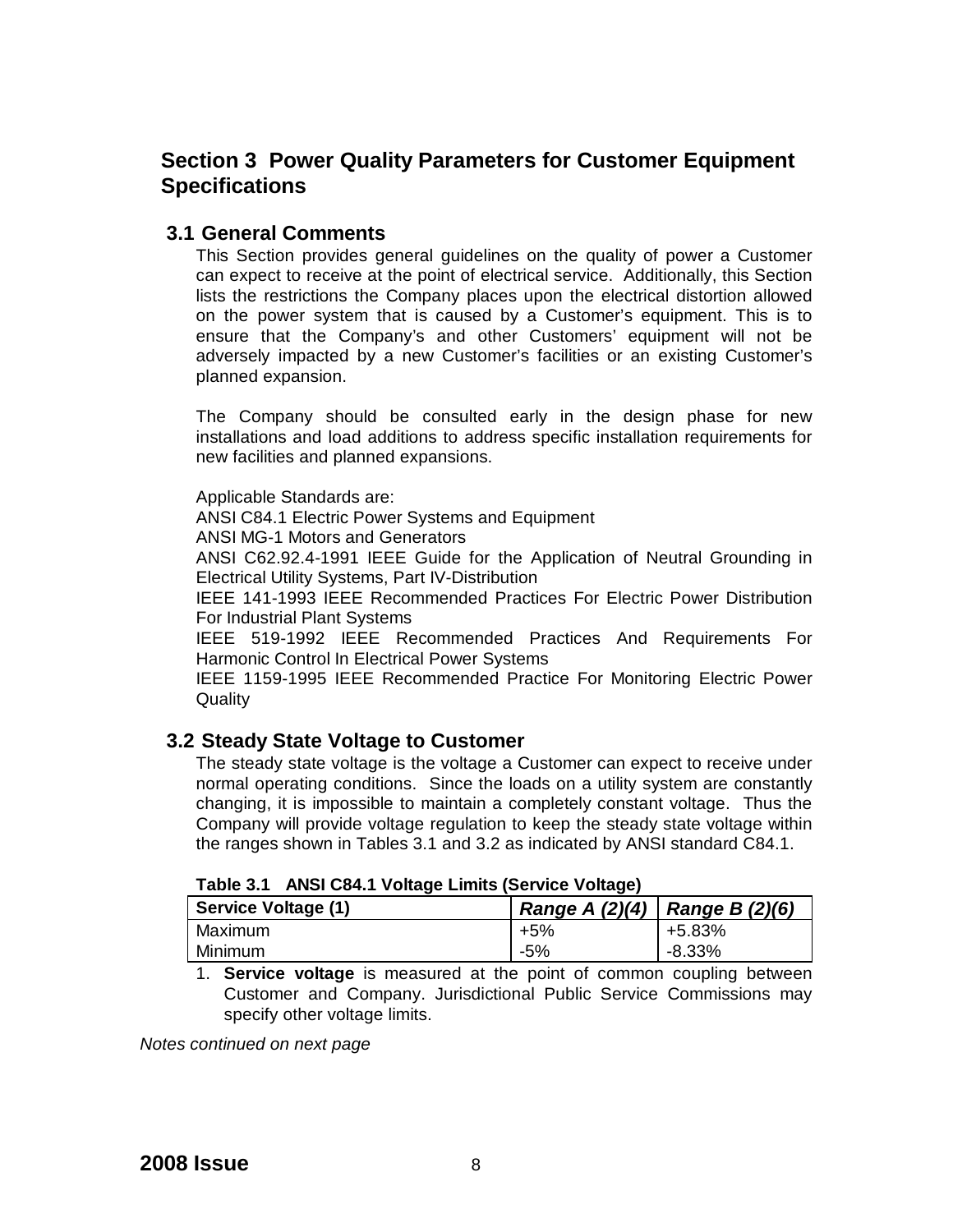# **Section 3 Power Quality Parameters for Customer Equipment Specifications**

#### **3.1 General Comments**

This Section provides general guidelines on the quality of power a Customer can expect to receive at the point of electrical service. Additionally, this Section lists the restrictions the Company places upon the electrical distortion allowed on the power system that is caused by a Customer's equipment. This is to ensure that the Company's and other Customers' equipment will not be adversely impacted by a new Customer's facilities or an existing Customer's planned expansion.

The Company should be consulted early in the design phase for new installations and load additions to address specific installation requirements for new facilities and planned expansions.

Applicable Standards are:

ANSI C84.1 Electric Power Systems and Equipment

ANSI MG-1 Motors and Generators

ANSI C62.92.4-1991 IEEE Guide for the Application of Neutral Grounding in Electrical Utility Systems, Part IV-Distribution

IEEE 141-1993 IEEE Recommended Practices For Electric Power Distribution For Industrial Plant Systems

IEEE 519-1992 IEEE Recommended Practices And Requirements For Harmonic Control In Electrical Power Systems

IEEE 1159-1995 IEEE Recommended Practice For Monitoring Electric Power **Quality** 

## **3.2 Steady State Voltage to Customer**

The steady state voltage is the voltage a Customer can expect to receive under normal operating conditions. Since the loads on a utility system are constantly changing, it is impossible to maintain a completely constant voltage. Thus the Company will provide voltage regulation to keep the steady state voltage within the ranges shown in Tables 3.1 and 3.2 as indicated by ANSI standard C84.1.

| $1$ able 5.1 And C04.1 voltage Limits (Service voltage) |                                     |        |  |  |
|---------------------------------------------------------|-------------------------------------|--------|--|--|
| Service Voltage (1)                                     | Range A $(2)(4)$   Range B $(2)(6)$ |        |  |  |
| Maximum                                                 | $+5%$                               | +5.83% |  |  |
| Minimum                                                 | $-5%$                               | -8.33% |  |  |

**Table 3.1 ANSI C84.1 Voltage Limits (Service Voltage)**

1. **Service voltage** is measured at the point of common coupling between Customer and Company. Jurisdictional Public Service Commissions may specify other voltage limits.

*Notes continued on next page*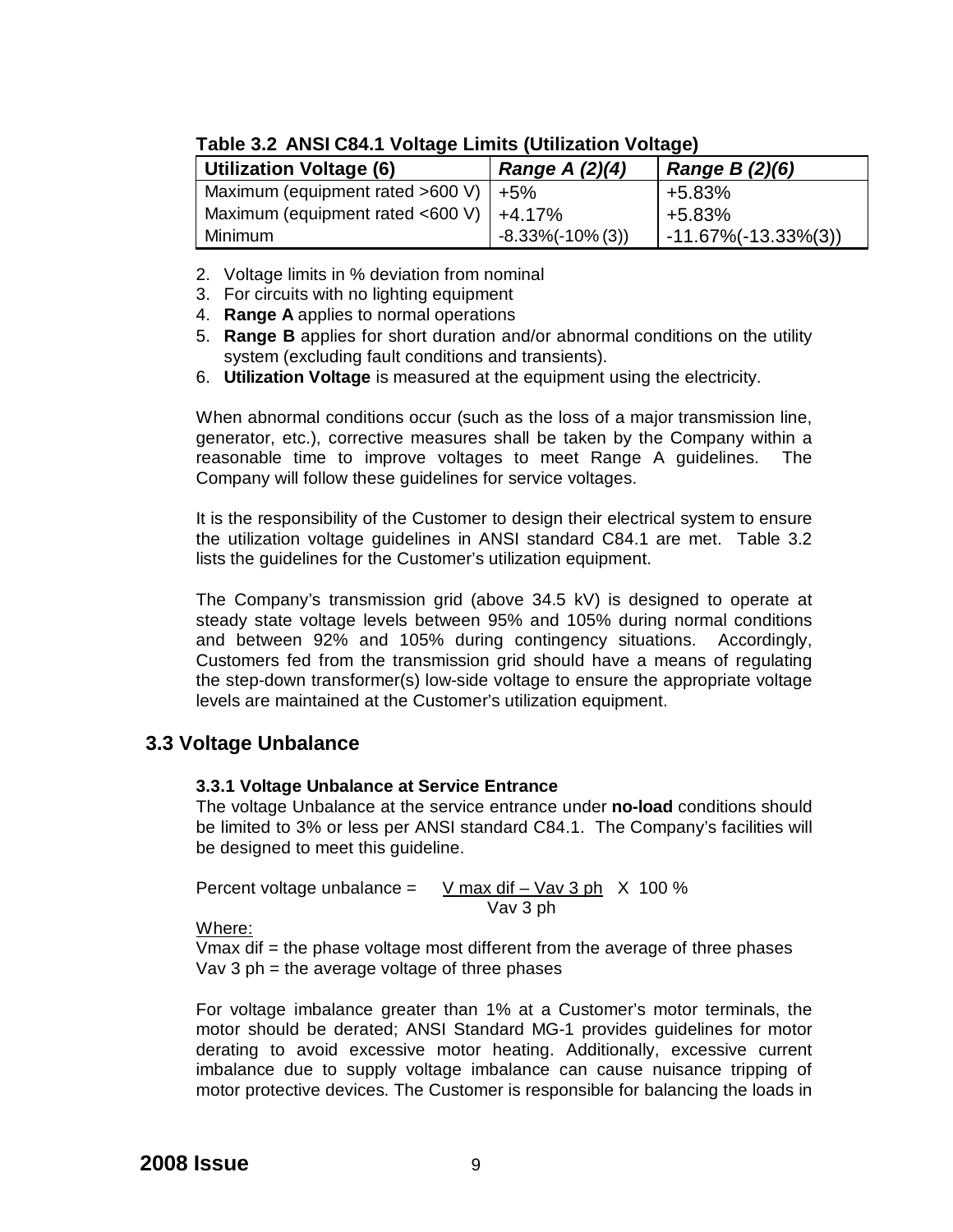| <b>Utilization Voltage (6)</b> |                                             | Range A (2)(4)       | Range B (2)(6)             |  |  |
|--------------------------------|---------------------------------------------|----------------------|----------------------------|--|--|
|                                | Maximum (equipment rated $>600$ V)   $+5\%$ |                      | +5.83%                     |  |  |
|                                | Maximum (equipment rated <600 V) $ +4.17\%$ |                      | $+5.83%$                   |  |  |
|                                | Minimum                                     | $-8.33\%(-10\%$ (3)) | $1 - 11.67\%(-13.33\%(3))$ |  |  |

#### **Table 3.2 ANSI C84.1 Voltage Limits (Utilization Voltage)**

- 2. Voltage limits in % deviation from nominal
- 3. For circuits with no lighting equipment
- 4. **Range A** applies to normal operations
- 5. **Range B** applies for short duration and/or abnormal conditions on the utility system (excluding fault conditions and transients).
- 6. **Utilization Voltage** is measured at the equipment using the electricity.

When abnormal conditions occur (such as the loss of a major transmission line, generator, etc.), corrective measures shall be taken by the Company within a reasonable time to improve voltages to meet Range A guidelines. The Company will follow these guidelines for service voltages.

It is the responsibility of the Customer to design their electrical system to ensure the utilization voltage guidelines in ANSI standard C84.1 are met. Table 3.2 lists the guidelines for the Customer's utilization equipment.

The Company's transmission grid (above 34.5 kV) is designed to operate at steady state voltage levels between 95% and 105% during normal conditions and between 92% and 105% during contingency situations. Accordingly, Customers fed from the transmission grid should have a means of regulating the step-down transformer(s) low-side voltage to ensure the appropriate voltage levels are maintained at the Customer's utilization equipment.

## **3.3 Voltage Unbalance**

#### **3.3.1 Voltage Unbalance at Service Entrance**

The voltage Unbalance at the service entrance under **no-load** conditions should be limited to 3% or less per ANSI standard C84.1. The Company's facilities will be designed to meet this guideline.

Percent voltage unbalance =  $V$  max dif – Vav 3 ph  $X$  100 % Vav 3 ph

Where:

Vmax dif = the phase voltage most different from the average of three phases Vav  $3$  ph = the average voltage of three phases

For voltage imbalance greater than 1% at a Customer's motor terminals, the motor should be derated; ANSI Standard MG-1 provides guidelines for motor derating to avoid excessive motor heating. Additionally, excessive current imbalance due to supply voltage imbalance can cause nuisance tripping of motor protective devices. The Customer is responsible for balancing the loads in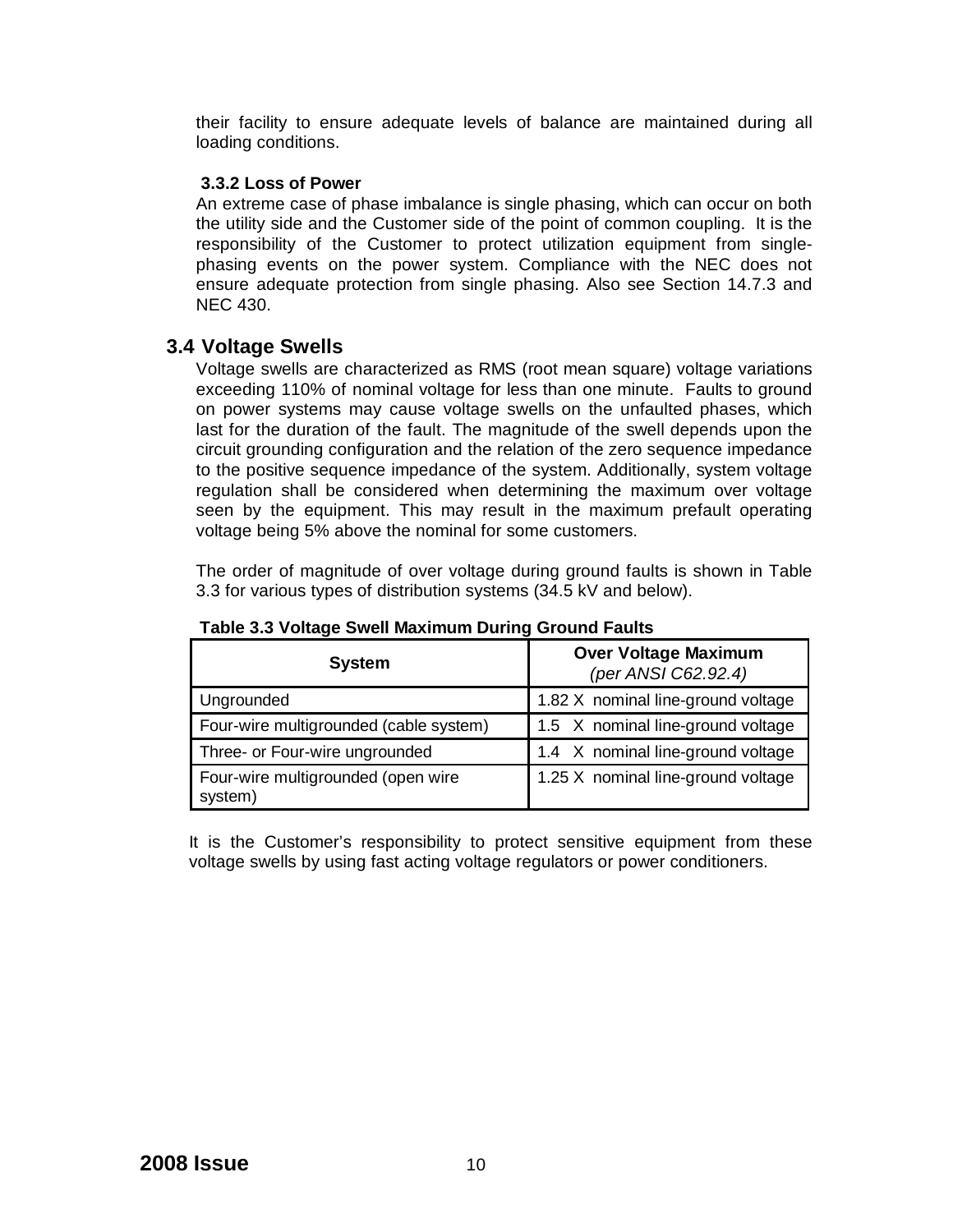their facility to ensure adequate levels of balance are maintained during all loading conditions.

#### **3.3.2 Loss of Power**

An extreme case of phase imbalance is single phasing, which can occur on both the utility side and the Customer side of the point of common coupling. It is the responsibility of the Customer to protect utilization equipment from singlephasing events on the power system. Compliance with the NEC does not ensure adequate protection from single phasing. Also see Section 14.7.3 and NEC 430.

#### **3.4 Voltage Swells**

Voltage swells are characterized as RMS (root mean square) voltage variations exceeding 110% of nominal voltage for less than one minute. Faults to ground on power systems may cause voltage swells on the unfaulted phases, which last for the duration of the fault. The magnitude of the swell depends upon the circuit grounding configuration and the relation of the zero sequence impedance to the positive sequence impedance of the system. Additionally, system voltage regulation shall be considered when determining the maximum over voltage seen by the equipment. This may result in the maximum prefault operating voltage being 5% above the nominal for some customers.

The order of magnitude of over voltage during ground faults is shown in Table 3.3 for various types of distribution systems (34.5 kV and below).

| <b>System</b>                                 | <b>Over Voltage Maximum</b><br>(per ANSI C62.92.4) |  |  |
|-----------------------------------------------|----------------------------------------------------|--|--|
| Ungrounded                                    | 1.82 X nominal line-ground voltage                 |  |  |
| Four-wire multigrounded (cable system)        | 1.5 X nominal line-ground voltage                  |  |  |
| Three- or Four-wire ungrounded                | 1.4 X nominal line-ground voltage                  |  |  |
| Four-wire multigrounded (open wire<br>system) | 1.25 X nominal line-ground voltage                 |  |  |

**Table 3.3 Voltage Swell Maximum During Ground Faults**

It is the Customer's responsibility to protect sensitive equipment from these voltage swells by using fast acting voltage regulators or power conditioners.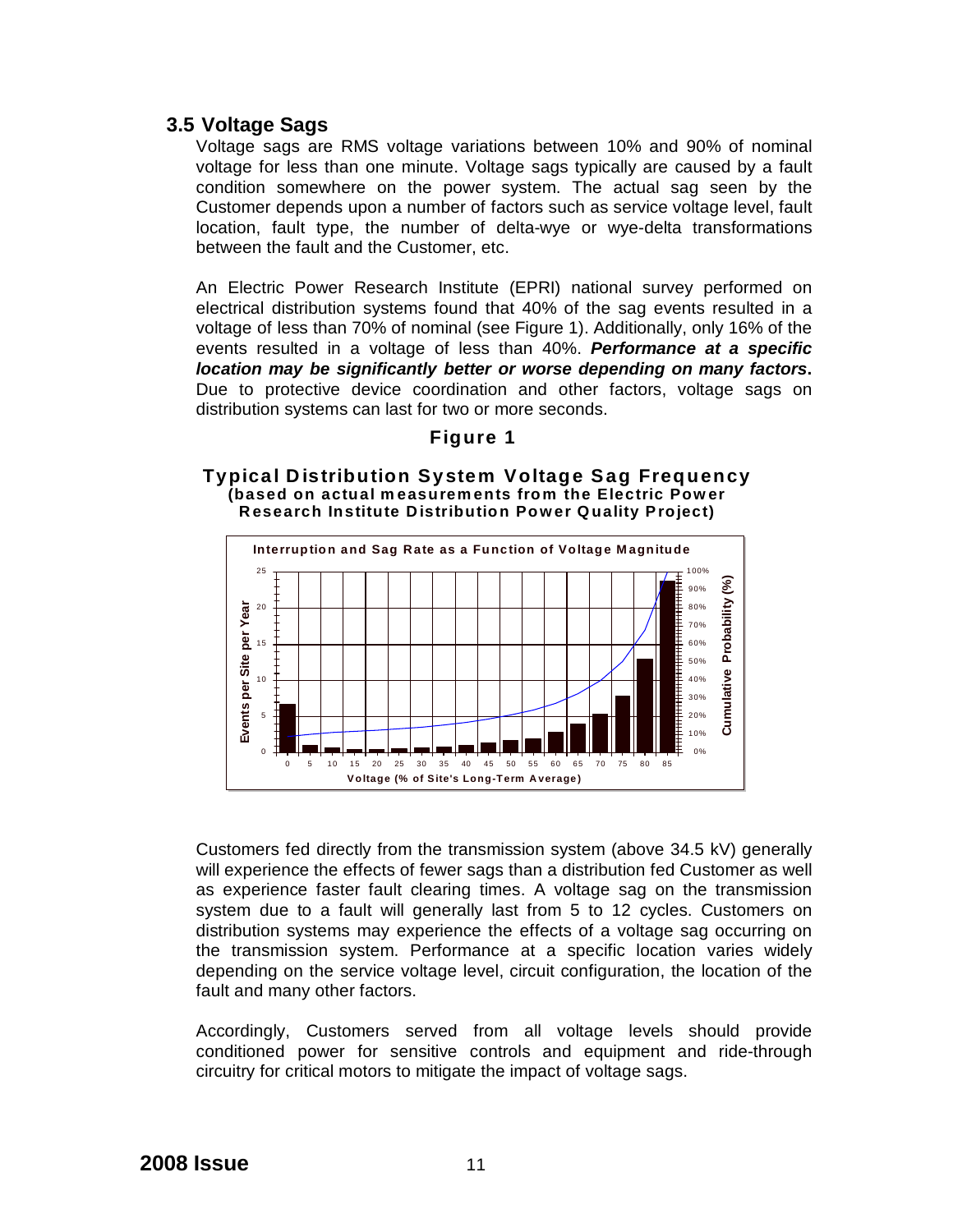#### **3.5 Voltage Sags**

Voltage sags are RMS voltage variations between 10% and 90% of nominal voltage for less than one minute. Voltage sags typically are caused by a fault condition somewhere on the power system. The actual sag seen by the Customer depends upon a number of factors such as service voltage level, fault location, fault type, the number of delta-wye or wye-delta transformations between the fault and the Customer, etc.

An Electric Power Research Institute (EPRI) national survey performed on electrical distribution systems found that 40% of the sag events resulted in a voltage of less than 70% of nominal (see Figure 1). Additionally, only 16% of the events resulted in a voltage of less than 40%. *Performance at a specific location may be significantly better or worse depending on many factors***.** Due to protective device coordination and other factors, voltage sags on distribution systems can last for two or more seconds.

#### **Figure 1**

#### **Typical Distribution System Voltage Sag Frequency (based on actual m easurements from the Electric Pow er Research Institute Distribution Power Quality Project)**



Customers fed directly from the transmission system (above 34.5 kV) generally will experience the effects of fewer sags than a distribution fed Customer as well as experience faster fault clearing times. A voltage sag on the transmission system due to a fault will generally last from 5 to 12 cycles. Customers on distribution systems may experience the effects of a voltage sag occurring on the transmission system. Performance at a specific location varies widely depending on the service voltage level, circuit configuration, the location of the fault and many other factors.

Accordingly, Customers served from all voltage levels should provide conditioned power for sensitive controls and equipment and ride-through circuitry for critical motors to mitigate the impact of voltage sags.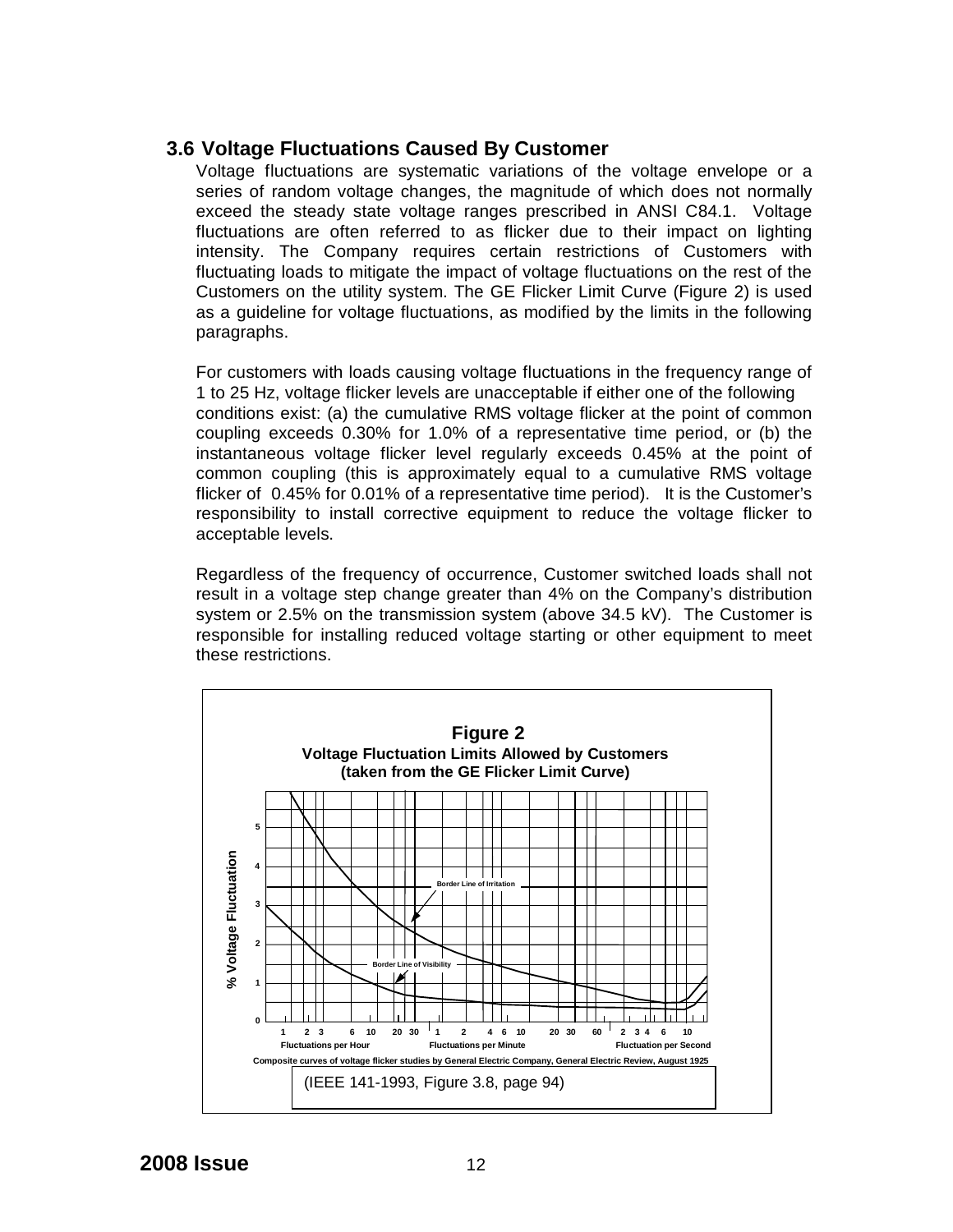#### **3.6 Voltage Fluctuations Caused By Customer**

Voltage fluctuations are systematic variations of the voltage envelope or a series of random voltage changes, the magnitude of which does not normally exceed the steady state voltage ranges prescribed in ANSI C84.1. Voltage fluctuations are often referred to as flicker due to their impact on lighting intensity. The Company requires certain restrictions of Customers with fluctuating loads to mitigate the impact of voltage fluctuations on the rest of the Customers on the utility system. The GE Flicker Limit Curve (Figure 2) is used as a guideline for voltage fluctuations, as modified by the limits in the following paragraphs.

For customers with loads causing voltage fluctuations in the frequency range of 1 to 25 Hz, voltage flicker levels are unacceptable if either one of the following conditions exist: (a) the cumulative RMS voltage flicker at the point of common coupling exceeds 0.30% for 1.0% of a representative time period, or (b) the instantaneous voltage flicker level regularly exceeds 0.45% at the point of common coupling (this is approximately equal to a cumulative RMS voltage flicker of 0.45% for 0.01% of a representative time period). It is the Customer's responsibility to install corrective equipment to reduce the voltage flicker to acceptable levels.

Regardless of the frequency of occurrence, Customer switched loads shall not result in a voltage step change greater than 4% on the Company's distribution system or 2.5% on the transmission system (above 34.5 kV). The Customer is responsible for installing reduced voltage starting or other equipment to meet these restrictions.

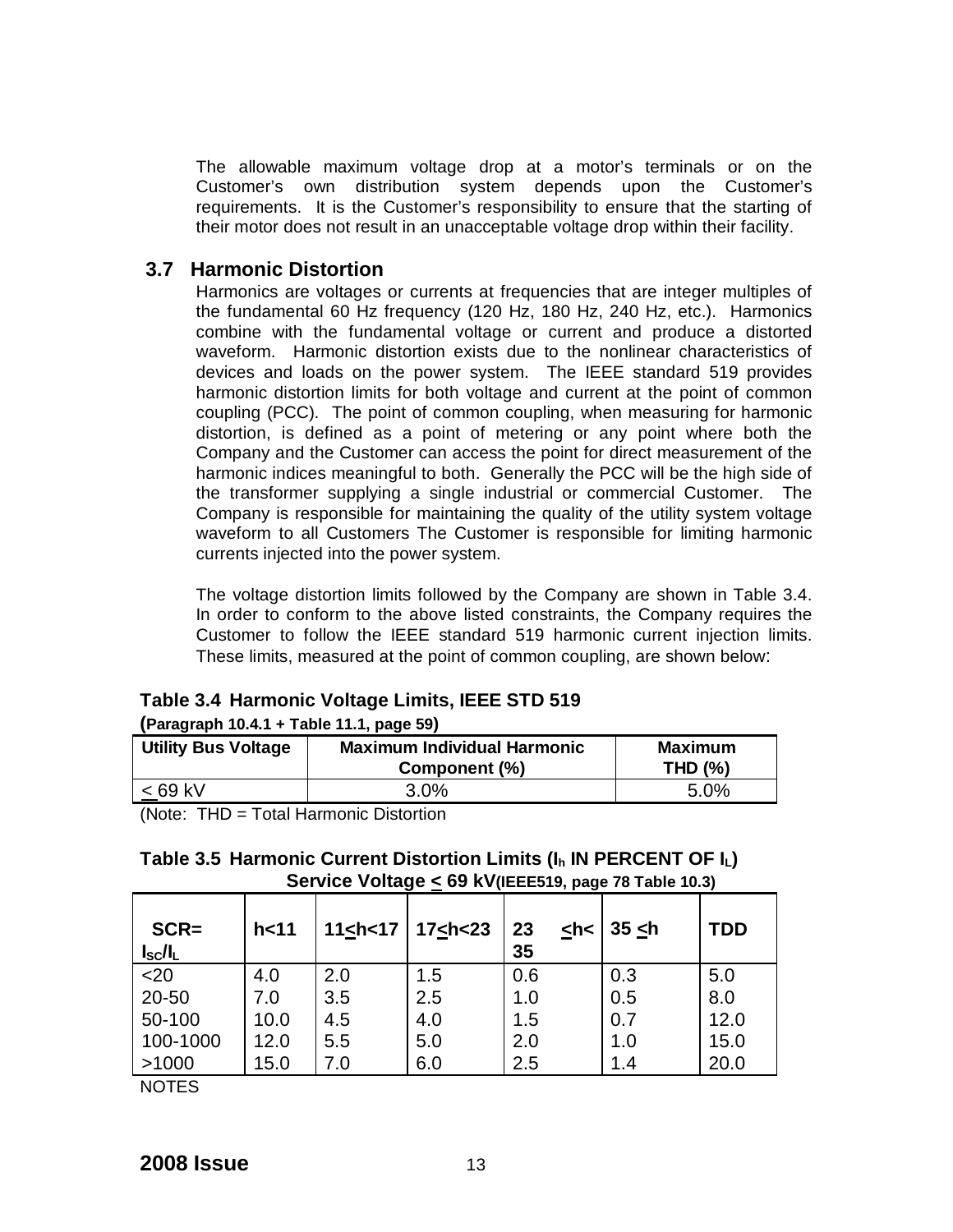The allowable maximum voltage drop at a motor's terminals or on the Customer's own distribution system depends upon the Customer's requirements. It is the Customer's responsibility to ensure that the starting of their motor does not result in an unacceptable voltage drop within their facility.

#### **3.7 Harmonic Distortion**

Harmonics are voltages or currents at frequencies that are integer multiples of the fundamental 60 Hz frequency (120 Hz, 180 Hz, 240 Hz, etc.). Harmonics combine with the fundamental voltage or current and produce a distorted waveform. Harmonic distortion exists due to the nonlinear characteristics of devices and loads on the power system. The IEEE standard 519 provides harmonic distortion limits for both voltage and current at the point of common coupling (PCC). The point of common coupling, when measuring for harmonic distortion, is defined as a point of metering or any point where both the Company and the Customer can access the point for direct measurement of the harmonic indices meaningful to both. Generally the PCC will be the high side of the transformer supplying a single industrial or commercial Customer. The Company is responsible for maintaining the quality of the utility system voltage waveform to all Customers The Customer is responsible for limiting harmonic currents injected into the power system.

The voltage distortion limits followed by the Company are shown in Table 3.4. In order to conform to the above listed constraints, the Company requires the Customer to follow the IEEE standard 519 harmonic current injection limits. These limits, measured at the point of common coupling, are shown below:

| (Paragraph 10.4.1 + Table 11.1, page 59) |                                    |                |  |  |
|------------------------------------------|------------------------------------|----------------|--|--|
| <b>Utility Bus Voltage</b>               | <b>Maximum Individual Harmonic</b> | Maximum        |  |  |
|                                          | Component (%)                      | <b>THD (%)</b> |  |  |
| $< 69$ kV                                | 3.0%                               | 5.0%           |  |  |

#### **Table 3.4 Harmonic Voltage Limits, IEEE STD 519**

(Note: THD = Total Harmonic Distortion

| Table 3.5 Harmonic Current Distortion Limits ( $I_h$ IN PERCENT OF $I_L$ ) |
|----------------------------------------------------------------------------|
| Service Voltage < 69 kV(IEEE519, page 78 Table 10.3)                       |

| $SCR =$<br>$I_{\rm sc}/I_{\rm L}$ | h<11 |     | 11 <h 17="" <="" <math="">\mid 17 <h 23<="" <="" th=""><th>23<br/><math>&lt;</math>h&lt;<br/>35</th><th><math> 35 \angle h</math></th><th><b>TDD</b></th></h></h> | 23<br>$<$ h<<br>35 | $ 35 \angle h$ | <b>TDD</b> |
|-----------------------------------|------|-----|-------------------------------------------------------------------------------------------------------------------------------------------------------------------|--------------------|----------------|------------|
| $20$                              | 4.0  | 2.0 | 1.5                                                                                                                                                               | 0.6                | 0.3            | 5.0        |
| 20-50                             | 7.0  | 3.5 | 2.5                                                                                                                                                               | 1.0                | 0.5            | 8.0        |
| 50-100                            | 10.0 | 4.5 | 4.0                                                                                                                                                               | 1.5                | 0.7            | 12.0       |
| 100-1000                          | 12.0 | 5.5 | 5.0                                                                                                                                                               | 2.0                | 1.0            | 15.0       |
| >1000                             | 15.0 | 7.0 | 6.0                                                                                                                                                               | 2.5                | 1.4            | 20.0       |

NOTES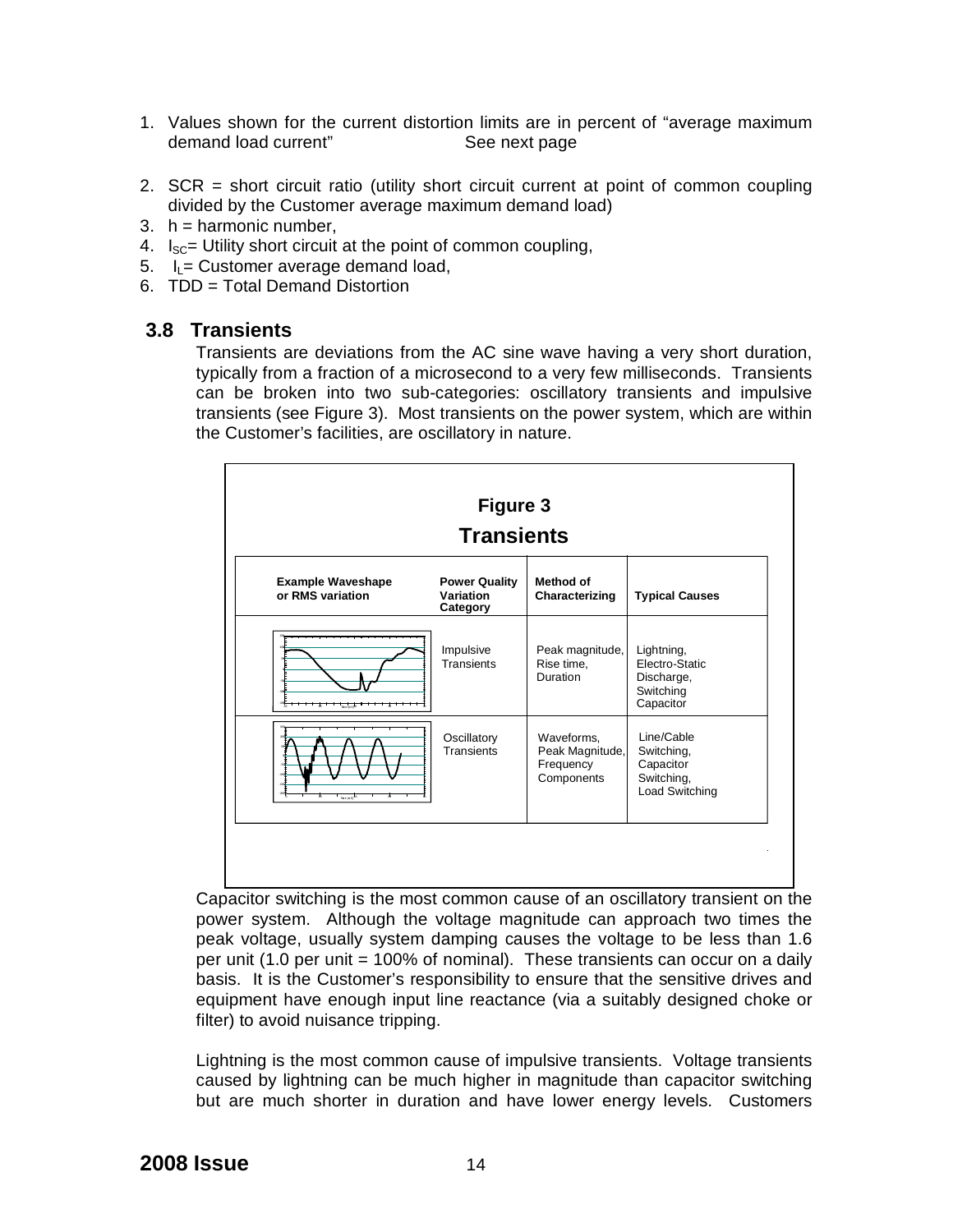- 1. Values shown for the current distortion limits are in percent of "average maximum demand load current" See next page
- 2. SCR = short circuit ratio (utility short circuit current at point of common coupling divided by the Customer average maximum demand load)
- $3. h =$  harmonic number,
- 4.  $I_{SC}$ = Utility short circuit at the point of common coupling,
- 5.  $I_1$  = Customer average demand load,
- 6. TDD = Total Demand Distortion

#### **3.8 Transients**

Transients are deviations from the AC sine wave having a very short duration, typically from a fraction of a microsecond to a very few milliseconds. Transients can be broken into two sub-categories: oscillatory transients and impulsive transients (see Figure 3). Most transients on the power system, which are within the Customer's facilities, are oscillatory in nature.



Capacitor switching is the most common cause of an oscillatory transient on the power system. Although the voltage magnitude can approach two times the peak voltage, usually system damping causes the voltage to be less than 1.6 per unit (1.0 per unit = 100% of nominal). These transients can occur on a daily basis. It is the Customer's responsibility to ensure that the sensitive drives and equipment have enough input line reactance (via a suitably designed choke or filter) to avoid nuisance tripping.

Lightning is the most common cause of impulsive transients. Voltage transients caused by lightning can be much higher in magnitude than capacitor switching but are much shorter in duration and have lower energy levels. Customers